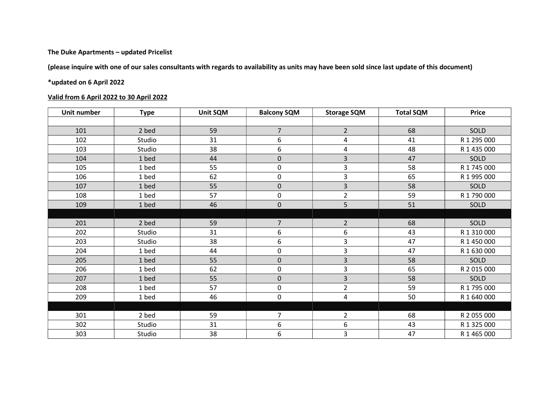## The Duke Apartments – updated Pricelist

(please inquire with one of our sales consultants with regards to availability as units may have been sold since last update of this document)

## \*updated on 6 April 2022

## Valid from 6 April 2022 to 30 April 2022

| Unit number | <b>Type</b> | <b>Unit SQM</b> | <b>Balcony SQM</b> | <b>Storage SQM</b> | <b>Total SQM</b> | <b>Price</b> |
|-------------|-------------|-----------------|--------------------|--------------------|------------------|--------------|
|             |             |                 |                    |                    |                  |              |
| 101         | 2 bed       | 59              | $\overline{7}$     | $2^{\circ}$        | 68               | SOLD         |
| 102         | Studio      | 31              | 6                  | 4                  | 41               | R 1 295 000  |
| 103         | Studio      | 38              | 6                  | 4                  | 48               | R 1 435 000  |
| 104         | 1 bed       | 44              | $\mathbf 0$        | 3                  | 47               | <b>SOLD</b>  |
| 105         | 1 bed       | 55              | 0                  | 3                  | 58               | R 1 745 000  |
| 106         | 1 bed       | 62              | 0                  | 3                  | 65               | R 1 995 000  |
| 107         | 1 bed       | 55              | $\overline{0}$     | 3                  | 58               | SOLD         |
| 108         | 1 bed       | 57              | 0                  | $\overline{2}$     | 59               | R 1 790 000  |
| 109         | 1 bed       | 46              | 0                  | 5                  | 51               | SOLD         |
|             |             |                 |                    |                    |                  |              |
| 201         | 2 bed       | 59              | $\overline{7}$     | $\overline{2}$     | 68               | SOLD         |
| 202         | Studio      | 31              | 6                  | 6                  | 43               | R 1 310 000  |
| 203         | Studio      | 38              | 6                  | 3                  | 47               | R 1 450 000  |
| 204         | 1 bed       | 44              | 0                  | 3                  | 47               | R 1 630 000  |
| 205         | 1 bed       | 55              | $\overline{0}$     | 3                  | 58               | SOLD         |
| 206         | 1 bed       | 62              | 0                  | 3                  | 65               | R 2 015 000  |
| 207         | 1 bed       | 55              | 0                  | 3                  | 58               | SOLD         |
| 208         | 1 bed       | 57              | 0                  | $\overline{2}$     | 59               | R 1 795 000  |
| 209         | 1 bed       | 46              | 0                  | 4                  | 50               | R 1 640 000  |
|             |             |                 |                    |                    |                  |              |
| 301         | 2 bed       | 59              | 7                  | $\overline{2}$     | 68               | R 2 055 000  |
| 302         | Studio      | 31              | 6                  | 6                  | 43               | R 1 325 000  |
| 303         | Studio      | 38              | 6                  | 3                  | 47               | R 1 465 000  |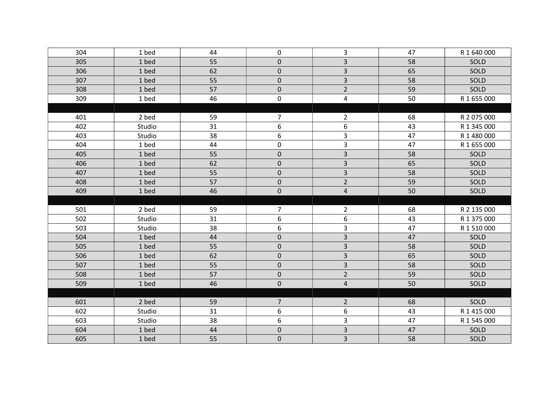| 304 | 1 bed  | 44 | $\pmb{0}$      | 3                       | 47 | R 1 640 000 |
|-----|--------|----|----------------|-------------------------|----|-------------|
| 305 | 1 bed  | 55 | $\pmb{0}$      | 3                       | 58 | SOLD        |
| 306 | 1 bed  | 62 | $\pmb{0}$      | $\overline{\mathbf{3}}$ | 65 | SOLD        |
| 307 | 1 bed  | 55 | $\pmb{0}$      | $\overline{3}$          | 58 | SOLD        |
| 308 | 1 bed  | 57 | $\mathbf 0$    | $\overline{2}$          | 59 | SOLD        |
| 309 | 1 bed  | 46 | $\pmb{0}$      | 4                       | 50 | R 1 655 000 |
|     |        |    |                |                         |    |             |
| 401 | 2 bed  | 59 | $\overline{7}$ | $\overline{2}$          | 68 | R 2 075 000 |
| 402 | Studio | 31 | 6              | 6                       | 43 | R 1 345 000 |
| 403 | Studio | 38 | 6              | 3                       | 47 | R 1 480 000 |
| 404 | 1 bed  | 44 | $\pmb{0}$      | 3                       | 47 | R 1 655 000 |
| 405 | 1 bed  | 55 | $\pmb{0}$      | $\overline{\mathbf{3}}$ | 58 | SOLD        |
| 406 | 1 bed  | 62 | $\pmb{0}$      | $\overline{\mathbf{3}}$ | 65 | SOLD        |
| 407 | 1 bed  | 55 | $\pmb{0}$      | $\overline{\mathbf{3}}$ | 58 | SOLD        |
| 408 | 1 bed  | 57 | $\pmb{0}$      | $\overline{2}$          | 59 | SOLD        |
| 409 | 1 bed  | 46 | $\pmb{0}$      | $\overline{\mathbf{4}}$ | 50 | SOLD        |
|     |        |    |                |                         |    |             |
| 501 | 2 bed  | 59 | $\overline{7}$ | $\overline{2}$          | 68 | R 2 135 000 |
| 502 | Studio | 31 | 6              | 6                       | 43 | R 1 375 000 |
| 503 | Studio | 38 | 6              | 3                       | 47 | R 1 510 000 |
| 504 | 1 bed  | 44 | $\pmb{0}$      | $\overline{3}$          | 47 | SOLD        |
| 505 | 1 bed  | 55 | $\pmb{0}$      | $\overline{\mathbf{3}}$ | 58 | SOLD        |
| 506 | 1 bed  | 62 | $\pmb{0}$      | $\overline{\mathbf{3}}$ | 65 | SOLD        |
| 507 | 1 bed  | 55 | $\pmb{0}$      | $\overline{\mathbf{3}}$ | 58 | SOLD        |
| 508 | 1 bed  | 57 | $\pmb{0}$      | $\overline{2}$          | 59 | SOLD        |
| 509 | 1 bed  | 46 | $\mathbf 0$    | $\overline{\mathbf{4}}$ | 50 | SOLD        |
|     |        |    |                |                         |    |             |
| 601 | 2 bed  | 59 | $\overline{7}$ | $\overline{2}$          | 68 | SOLD        |
| 602 | Studio | 31 | 6              | 6                       | 43 | R 1 415 000 |
| 603 | Studio | 38 | 6              | 3                       | 47 | R 1 545 000 |
| 604 | 1 bed  | 44 | $\pmb{0}$      | $\overline{\mathbf{3}}$ | 47 | SOLD        |
| 605 | 1 bed  | 55 | $\mathsf 0$    | $\overline{\mathbf{3}}$ | 58 | SOLD        |